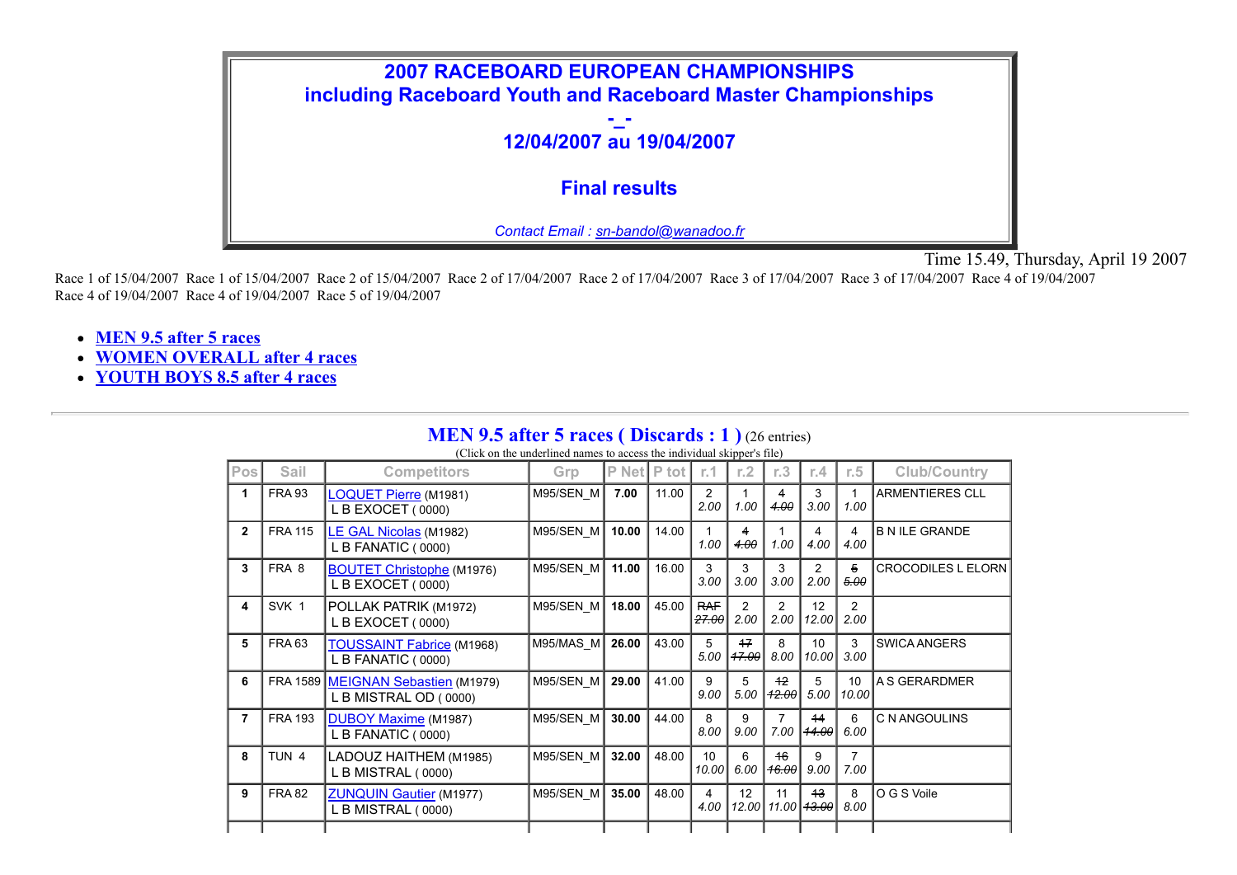

Time 15.49, Thursday, April 19 2007

Race 1 of 15/04/2007 Race 1 of 15/04/2007 Race 2 of 15/04/2007 Race 2 of 17/04/2007 Race 2 of 17/04/2007 Race 3 of 17/04/2007 Race 3 of 17/04/2007 Race 4 of 19/04/2007 Race 4 of 19/04/2007 Race 4 of 19/04/2007 Race 5 of 19/04/2007

- **MEN 9.5 after 5 races**
- **WOMEN OVERALL after 4 races**
- **YOUTH BOYS 8.5 after 4 races**

### **MEN 9.5 after 5 races (Discards : 1)** (26 entries)

(Click on the underlined names to access the individual skipper's file)

| Pos            | Sail             | <b>Competitors</b>                                          | Grp         | P Net | P tot | r.1                 | r.2           | r.3            | r.4                      | r.5                    | <b>Club/Country</b>       |
|----------------|------------------|-------------------------------------------------------------|-------------|-------|-------|---------------------|---------------|----------------|--------------------------|------------------------|---------------------------|
| 1              | <b>FRA 93</b>    | <b>LOQUET Pierre (M1981)</b><br>L B EXOCET (0000)           | M95/SEN M   | 7.00  | 11.00 | 2<br>2.00           | 1.00          | 4<br>4.00      | 3<br>3.00                | 1.00                   | <b>ARMENTIERES CLL</b>    |
| $\overline{2}$ | <b>FRA 115</b>   | LE GAL Nicolas (M1982)<br>L B FANATIC (0000)                | $M95/SEN$ M | 10.00 | 14.00 | 1.00                | 4<br>4.00     | 1.00           | 4<br>4.00                | 4<br>4.00              | <b>B N ILE GRANDE</b>     |
| 3              | FRA 8            | <b>BOUTET Christophe (M1976)</b><br>L B EXOCET (0000)       | M95/SEN M   | 11.00 | 16.00 | 3<br>3.00           | 3<br>3.00     | 3<br>3.00      | $\overline{2}$<br>2.00   | $\overline{5}$<br>5.00 | <b>CROCODILES L ELORN</b> |
| 4              | SVK 1            | POLLAK PATRIK (M1972)<br>L B EXOCET (0000)                  | $M95/SEN$ M | 18.00 | 45.00 | <b>RAF</b><br>27.00 | 2<br>2.00     | 2<br>2.00      | 12<br>12.00              | 2<br>2.00              |                           |
| 5              | <b>FRA 63</b>    | TOUSSAINT Fabrice (M1968)<br>L B FANATIC (0000)             | $M95/MAS$ M | 26.00 | 43.00 | 5<br>5.00           | $+7$<br>47.00 | 8<br>8.00      | 10 <sup>1</sup><br>10.00 | 3<br>3.00              | <b>SWICA ANGERS</b>       |
| 6              |                  | FRA 1589 MEIGNAN Sebastien (M1979)<br>L B MISTRAL OD (0000) | $M95/SEN$ M | 29.00 | 41.00 | 9<br>9.00           | 5<br>5.00     | $+2$<br>42.00  | 5<br>5.00                | 10<br>10.00            | IA S GERARDMER            |
| $\overline{7}$ | <b>FRA 193</b>   | <b>DUBOY Maxime (M1987)</b><br>L B FANATIC (0000)           | $M95/SEN$ M | 30.00 | 44.00 | 8<br>8.00           | 9<br>9.00     | 7.00           | 14<br>14.00              | 6<br>6.00              | C N ANGOULINS             |
| 8              | TUN <sub>4</sub> | LADOUZ HAITHEM (M1985)<br>L B MISTRAL (0000)                | $M95/SEN$ M | 32.00 | 48.00 | 10<br>10.00         | 6<br>6.00     | $+6$<br> 16.00 | 9<br>9.00                | 7<br>7.00              |                           |
| 9              | <b>FRA 82</b>    | <b>ZUNQUIN Gautier (M1977)</b><br>L B MISTRAL (0000)        | M95/SEN M   | 35.00 | 48.00 | 4<br>4.00           | 12<br>12.00   | 11<br>11.00    | $+3$<br><del>13.00</del> | 8<br>8.00              | O G S Voile               |
|                |                  |                                                             |             |       |       |                     |               |                |                          |                        |                           |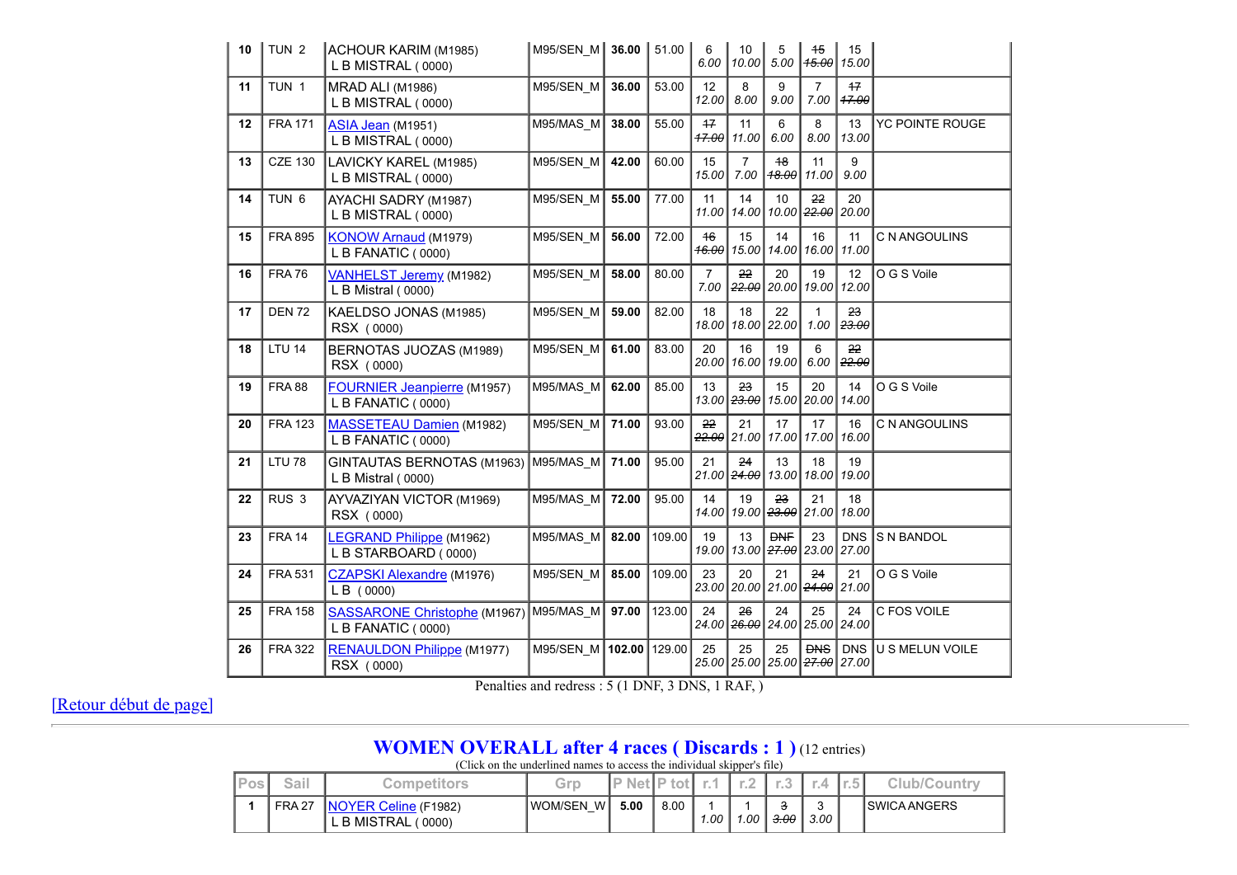| 10 | TUN <sub>2</sub> | ACHOUR KARIM (M1985)<br>L B MISTRAL (0000)                | M95/SEN M   | 36.00  | 51.00  | 6<br>6.00              | 10<br>10.00                  | 5<br>5.00                              | 45<br>45.00                   | 15<br>15.00         |                 |
|----|------------------|-----------------------------------------------------------|-------------|--------|--------|------------------------|------------------------------|----------------------------------------|-------------------------------|---------------------|-----------------|
| 11 | TUN 1            | MRAD ALI (M1986)<br>L B MISTRAL (0000)                    | M95/SEN M   | 36.00  | 53.00  | 12<br>12.00            | 8<br>8.00                    | 9<br>9.00                              | $\overline{7}$<br>7.00        | 17<br>47.00         |                 |
| 12 | <b>FRA 171</b>   | ASIA Jean (M1951)<br>L B MISTRAL (0000)                   | M95/MAS_M   | 38.00  | 55.00  | $+7$<br>$+7.00$        | 11<br>11.00                  | 6<br>6.00                              | 8<br>8.00                     | 13<br>13.00         | YC POINTE ROUGE |
| 13 | <b>CZE 130</b>   | LAVICKY KAREL (M1985)<br>L B MISTRAL (0000)               | M95/SEN M   | 42.00  | 60.00  | 15<br>15.00            | $\overline{7}$<br>7.00       | $+8$<br>18.00                          | 11<br>11.00                   | 9<br>9.00           |                 |
| 14 | TUN <sub>6</sub> | AYACHI SADRY (M1987)<br>L B MISTRAL (0000)                | M95/SEN M   | 55.00  | 77.00  | 11<br>11.00            | 14                           | 10<br>14.00   10.00   <del>22.00</del> | 22                            | 20<br>20.00         |                 |
| 15 | <b>FRA 895</b>   | <b>KONOW Arnaud (M1979)</b><br>L B FANATIC (0000)         | M95/SEN_M   | 56.00  | 72.00  | $+6$<br>16.00          | 15<br>15.00                  | 14<br>14.00                            | 16<br>16.00                   | 11<br>11.00         | C N ANGOULINS   |
| 16 | <b>FRA 76</b>    | VANHELST Jeremy (M1982)<br>L B Mistral (0000)             | M95/SEN_M   | 58.00  | 80.00  | $\overline{7}$<br>7.00 | 22<br>22.00                  | 20<br>20.00                            | 19<br>19.00                   | 12<br>12.00         | O G S Voile     |
| 17 | <b>DEN 72</b>    | KAELDSO JONAS (M1985)<br>RSX (0000)                       | M95/SEN M   | 59.00  | 82.00  | 18<br>18.00            | 18                           | 22<br>18.00 22.00                      | 1<br>1.00                     | 23<br>23.00         |                 |
| 18 | <b>LTU 14</b>    | BERNOTAS JUOZAS (M1989)<br>RSX (0000)                     | M95/SEN M   | 61.00  | 83.00  | 20<br>20.00            | 16<br>16.00                  | 19<br>19.00                            | 6<br>6.00                     | 22<br>22.00         |                 |
| 19 | <b>FRA 88</b>    | <b>FOURNIER Jeanpierre (M1957)</b><br>L B FANATIC (0000)  | M95/MAS M   | 62.00  | 85.00  | 13                     | 23<br>13.00 <del>23.00</del> | 15                                     | 20<br>15.00 20.00             | 14<br>14.00         | O G S Voile     |
| 20 | <b>FRA 123</b>   | <b>MASSETEAU Damien</b> (M1982)<br>L B FANATIC (0000)     | M95/SEN M   | 71.00  | 93.00  | 22                     | 21<br><del>22.00</del> 21.00 | 17                                     | 17<br>17.00 17.00             | 16<br>16.00         | C N ANGOULINS   |
| 21 | <b>LTU 78</b>    | GINTAUTAS BERNOTAS (M1963)<br>L B Mistral (0000)          | M95/MAS M   | 71.00  | 95.00  | 21                     | 24<br>21.00 <del>24.00</del> | 13<br>13.00                            | 18<br>18.00                   | 19<br>19.00         |                 |
| 22 | RUS <sub>3</sub> | AYVAZIYAN VICTOR (M1969)<br>RSX (0000)                    | M95/MAS M   | 72.00  | 95.00  | 14<br>14.00            | 19                           | 23<br>19.00 <del>23.00</del>           | 21<br> 21.00                  | 18<br>18.00         |                 |
| 23 | <b>FRA 14</b>    | <b>LEGRAND Philippe</b> (M1962)<br>L B STARBOARD (0000)   | M95/MAS M   | 82.00  | 109.00 | 19<br>19.00            | 13                           | <b>DNF</b><br>13.00 27.00 23.00        | 23                            | <b>DNS</b><br>27.00 | S N BANDOL      |
| 24 | <b>FRA 531</b>   | <b>CZAPSKI Alexandre (M1976)</b><br>LB(0000)              | M95/SEN_M   | 85.00  | 109.00 | 23<br>23.00            | 20                           | 21<br>20.00 21.00 24.00 21.00          | 24                            | 21                  | O G S Voile     |
| 25 | <b>FRA 158</b>   | <b>SASSARONE Christophe (M1967)</b><br>L B FANATIC (0000) | M95/MAS M   | 97.00  | 123.00 | 24<br>24.00 l          | 26                           | 24<br>2 <del>6.00</del> 24.00 25.00    | 25                            | 24<br>24.00         | C FOS VOILE     |
| 26 | <b>FRA 322</b>   | <b>RENAULDON Philippe (M1977)</b><br>RSX (0000)           | $M95/SEN$ M | 102.00 | 129.00 | 25                     | 25<br>25.00 25.00            | 25                                     | <b>DNS</b><br>$25.00$ $27.00$ | <b>DNS</b><br>27.00 | U S MELUN VOILE |

Penalties and redress : 5 (1 DNF, 3 DNS, 1 RAF, )

[Retour début de page]

## **WOMEN OVERALL after 4 races ( Discards : 1 )** (12 entries)

(Click on the underlined names to access the individual skipper's file)

| $P_{OS_1}$ | Sail          | Competitors                                           | Grp         | <b>P</b> Net P tot |      |      |      |                 | <b>CONTRACTOR</b> | <b>AND</b><br>i i Filipina |                |
|------------|---------------|-------------------------------------------------------|-------------|--------------------|------|------|------|-----------------|-------------------|----------------------------|----------------|
|            | <b>FRA 27</b> | <b>NOYER Celine (F1982)</b><br>L B MISTRAL (<br>0000) | IWOM/SEN WI | 5.00               | 8.00 | 1.00 | 1.00 | <del>3.00</del> | 3.00 l            |                            | I SWICA ANGERS |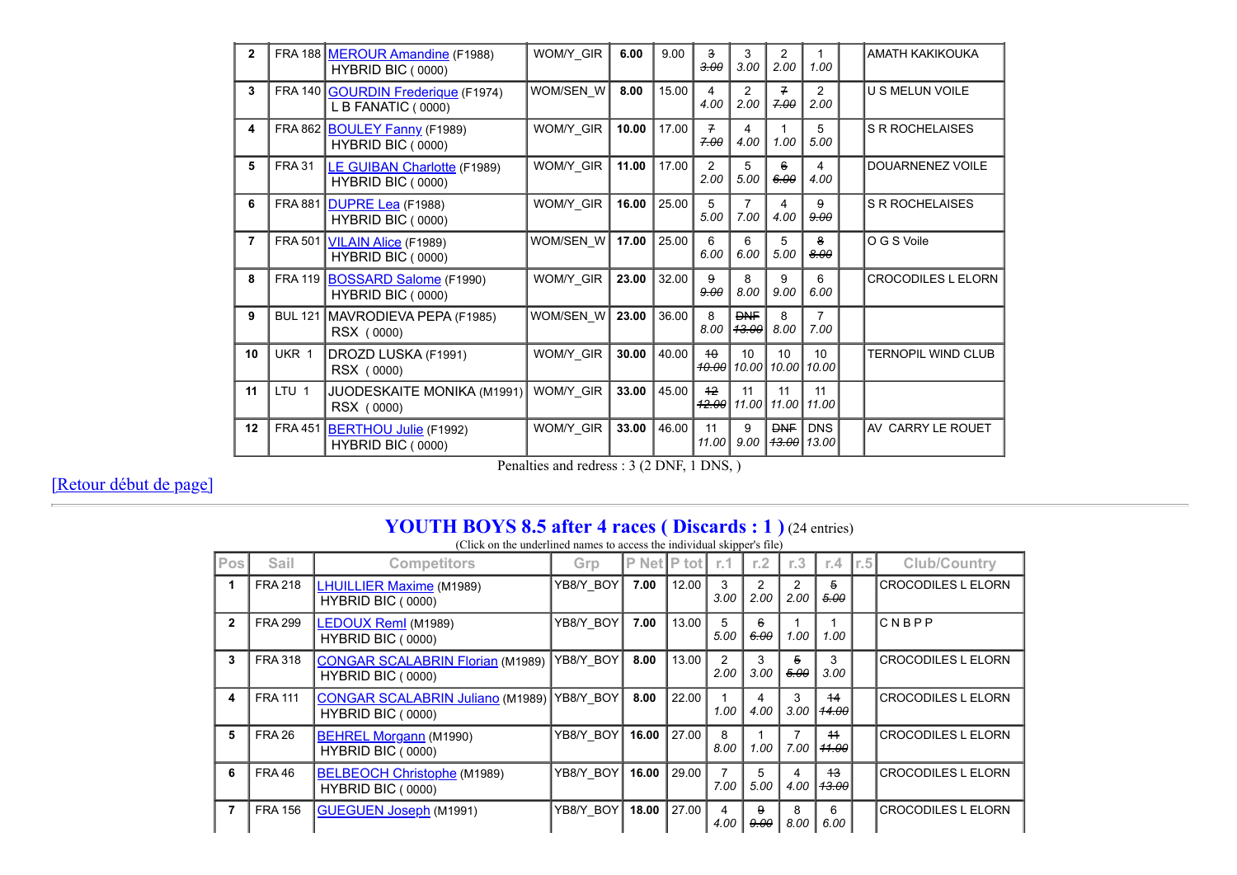| $\mathbf{2}$ |                  | FRA 188 MEROUR Amandine (F1988)<br>HYBRID BIC (0000)     | WOM/Y GIR | 6.00  | 9.00  | 3<br>$-3.00$             | 3<br>3.00                      | 2<br>2.00                   | 1.00                | <b>AMATH KAKIKOUKA</b>    |
|--------------|------------------|----------------------------------------------------------|-----------|-------|-------|--------------------------|--------------------------------|-----------------------------|---------------------|---------------------------|
| 3            |                  | FRA 140 GOURDIN Frederique (F1974)<br>L B FANATIC (0000) | WOM/SEN W | 8.00  | 15.00 | 4<br>4.00                | 2<br>2.00                      | 7<br>7.00                   | 2<br>2.00           | <b>U S MELUN VOILE</b>    |
| 4            |                  | FRA 862 BOULEY Fanny (F1989)<br>HYBRID BIC (0000)        | WOM/Y GIR | 10.00 | 17.00 | 7<br>7.00                | 4<br>4.00                      | 1.00                        | 5<br>5.00           | <b>S R ROCHELAISES</b>    |
| 5            | <b>FRA 31</b>    | <b>LE GUIBAN Charlotte (F1989)</b><br>HYBRID BIC (0000)  | WOM/Y GIR | 11.00 | 17.00 | 2<br>2.00                | 5<br>5.00                      | 6<br>6.00                   | 4<br>4.00           | DOUARNENEZ VOILE          |
| 6            |                  | FRA 881 DUPRE Lea (F1988)<br>HYBRID BIC (0000)           | WOM/Y_GIR | 16.00 | 25.00 | 5<br>5.00                | 7<br>7.00                      | 4<br>4.00                   | 9<br>9.00           | <b>S R ROCHELAISES</b>    |
| 7            |                  | FRA 501   VILAIN Alice (F1989)<br>HYBRID BIC (0000)      | WOM/SEN W | 17.00 | 25.00 | 6<br>6.00                | 6<br>6.00                      | 5<br>5.00                   | 8<br>8.00           | O G S Voile               |
| 8            |                  | FRA 119 BOSSARD Salome (F1990)<br>HYBRID BIC (0000)      | WOM/Y GIR | 23.00 | 32.00 | 9<br>9.00                | 8<br>8.00                      | 9<br>9.00                   | 6<br>6.00           | <b>CROCODILES L ELORN</b> |
| 9            | <b>BUL 121</b>   | MAVRODIEVA PEPA (F1985)<br>RSX (0000)                    | WOM/SEN W | 23.00 | 36.00 | 8<br>8.00                | <b>DNF</b><br><del>13.00</del> | 8<br>8.00                   | 7.00                |                           |
| 10           | UKR 1            | DROZD LUSKA (F1991)<br>RSX (0000)                        | WOM/Y GIR | 30.00 | 40.00 | 40<br>10.00              | 10                             | 10<br>10.00   10.00   10.00 | 10                  | TERNOPIL WIND CLUB        |
| 11           | LTU <sub>1</sub> | <b>JUODESKAITE MONIKA (M1991)</b><br>RSX (0000)          | WOM/Y GIR | 33.00 | 45.00 | $+2$<br><del>12.00</del> | 11<br>11.00                    | 11<br>11.00                 | 11<br>11.00         |                           |
| 12           | <b>FRA 451</b>   | <b>BERTHOU Julie</b> (F1992)<br>HYBRID BIC (0000)        | WOM/Y GIR | 33.00 | 46.00 | 11<br>11.00              | 9<br>9.00                      | <b>DNF</b><br>43.00         | <b>DNS</b><br>13.00 | AV CARRY LE ROUET         |

Penalties and redress : 3 (2 DNF, 1 DNS, )

[Retour début de page]

## **YOUTH BOYS 8.5 after 4 races ( Discards : 1 )** (24 entries)

(Click on the underlined names to access the individual skipper's file)

| <b>Pos</b>   | Sail           | <b>Competitors</b>                                           | Grp       | P.    | Net P tot | r.1                   | r.2       | r.3                    | r.4                    | r.5 | <b>Club/Country</b>       |
|--------------|----------------|--------------------------------------------------------------|-----------|-------|-----------|-----------------------|-----------|------------------------|------------------------|-----|---------------------------|
|              | <b>FRA 218</b> | LHUILLIER Maxime (M1989)<br>HYBRID BIC (0000)                | YB8/Y BOY | 7.00  | 12.00     | 3<br>3.00             | 2<br>2.00 | $\overline{2}$<br>2.00 | 5<br>5.00              |     | <b>CROCODILES L ELORN</b> |
| $\mathbf{2}$ | <b>FRA 299</b> | LEDOUX Reml (M1989)<br>HYBRID BIC (0000)                     | YB8/Y BOY | 7.00  | 13.00     | 5<br>5.00             | 6<br>6.00 | 1.00                   | 1.00                   |     | CNBPP                     |
| 3            | <b>FRA 318</b> | <b>CONGAR SCALABRIN Florian (M1989)</b><br>HYBRID BIC (0000) | YB8/Y BOY | 8.00  | 13.00     | $\mathcal{P}$<br>2.00 | 3<br>3.00 | 5<br>5.00              | 3<br>3.00              |     | <b>CROCODILES L ELORN</b> |
| 4            | <b>FRA 111</b> | <b>CONGAR SCALABRIN Juliano (M1989)</b><br>HYBRID BIC (0000) | YB8/Y BOY | 8.00  | 22.00     | 1.00                  | 4<br>4.00 | 3<br>3.00              | 44<br><del>14.00</del> |     | <b>CROCODILES L ELORN</b> |
| 5            | <b>FRA 26</b>  | <b>BEHREL Morgann</b> (M1990)<br>HYBRID BIC (0000)           | YB8/Y BOY | 16.00 | 27.00     | 8<br>8.00             | 1.00      | 7.00                   | $+4$<br>11.00          |     | <b>CROCODILES L ELORN</b> |
| 6            | <b>FRA 46</b>  | <b>BELBEOCH Christophe (M1989)</b><br>HYBRID BIC (0000)      | YB8/Y BOY | 16.00 | 29.00     | 7<br>7.00             | 5<br>5.00 | 4.00                   | $+3$<br>13.00          |     | <b>CROCODILES L ELORN</b> |
|              | <b>FRA 156</b> | <b>GUEGUEN Joseph (M1991)</b>                                | YB8/Y BOY | 18.00 | 27.00     | 4<br>4.00             | 9<br>9.00 | 8<br>8.00              | 6<br>6.00              |     | <b>CROCODILES L ELORN</b> |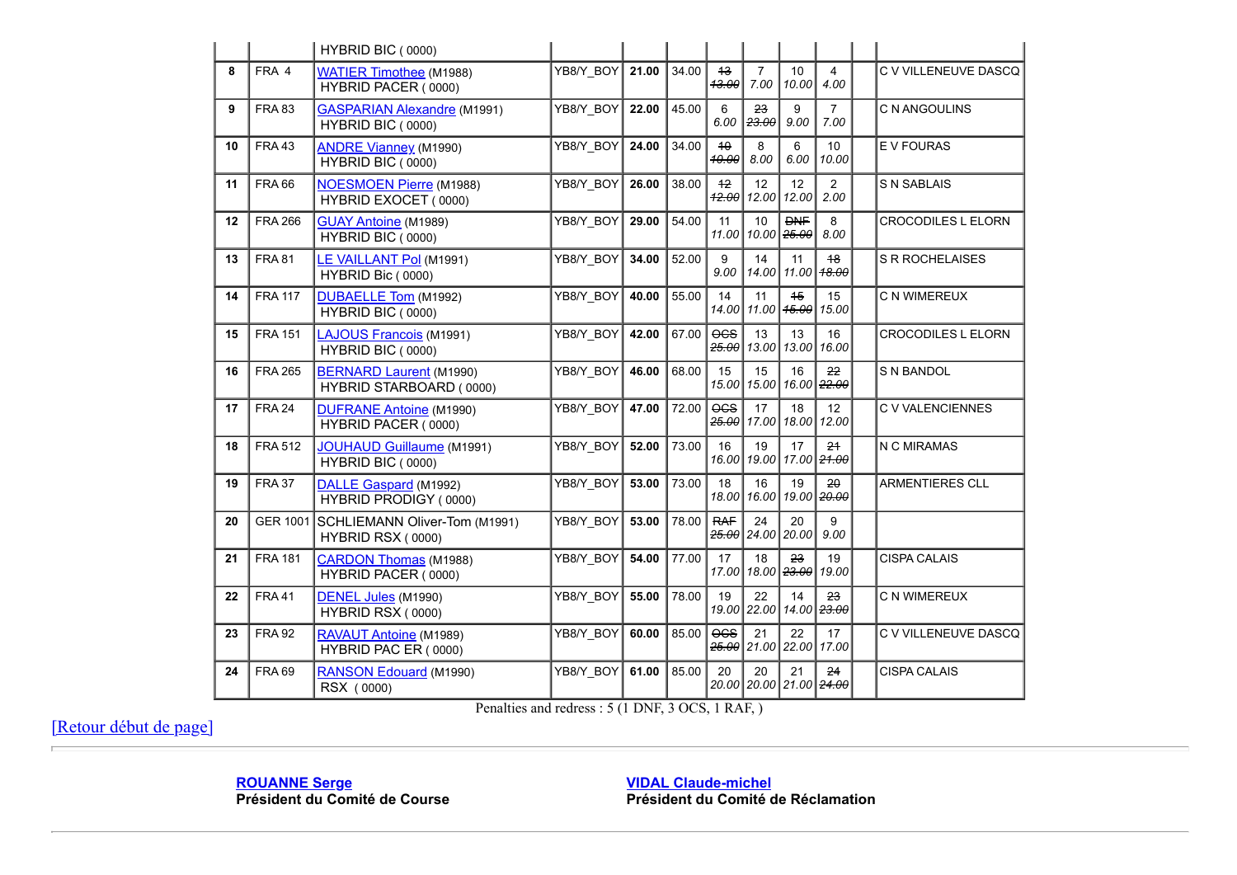|    |                 | HYBRID BIC (0000)                                         |           |       |       |                          |                                        |             |                                |                           |
|----|-----------------|-----------------------------------------------------------|-----------|-------|-------|--------------------------|----------------------------------------|-------------|--------------------------------|---------------------------|
| 8  | FRA 4           | <b>WATIER Timothee (M1988)</b><br>HYBRID PACER (0000)     | YB8/Y BOY | 21.00 | 34.00 | 13<br>43.00              | $\overline{7}$<br>7.00                 | 10<br>10.00 | 4<br>4.00                      | C V VILLENEUVE DASCO      |
| 9  | <b>FRA 83</b>   | <b>GASPARIAN Alexandre (M1991)</b><br>HYBRID BIC (0000)   | YB8/Y BOY | 22.00 | 45.00 | 6<br>6.00                | 23<br>23.00                            | 9<br>9.00   | $\overline{7}$<br>7.00         | C N ANGOULINS             |
| 10 | <b>FRA 43</b>   | <b>ANDRE Vianney (M1990)</b><br>HYBRID BIC (0000)         | YB8/Y BOY | 24.00 | 34.00 | 10<br>40.00              | 8<br>8.00                              | 6<br>6.00   | 10 <sup>°</sup><br>10.00       | E V FOURAS                |
| 11 | <b>FRA 66</b>   | <b>NOESMOEN Pierre (M1988)</b><br>HYBRID EXOCET (0000)    | YB8/Y BOY | 26.00 | 38.00 | $+2$<br><del>12.00</del> | 12<br>12.00                            | 12<br>12.00 | $\overline{2}$<br>2.00         | <b>S N SABLAIS</b>        |
| 12 | <b>FRA 266</b>  | <b>GUAY Antoine</b> (M1989)<br>HYBRID BIC (0000)          | YB8/Y BOY | 29.00 | 54.00 | 11                       | 10<br>11.00   10.00 <del>  25.00</del> | <b>DNF</b>  | 8<br>8.00                      | <b>CROCODILES L ELORN</b> |
| 13 | <b>FRA 81</b>   | LE VAILLANT Pol (M1991)<br>HYBRID Bic (0000)              | YB8/Y_BOY | 34.00 | 52.00 | 9<br>9.00                | 14<br>14.00                            | 11<br>11.00 | 48<br><del>18.00</del>         | <b>S R ROCHELAISES</b>    |
| 14 | <b>FRA 117</b>  | DUBAELLE Tom (M1992)<br>HYBRID BIC (0000)                 | YB8/Y BOY | 40.00 | 55.00 | 14                       | 11<br>14.00 11.00 <del>15.00</del>     | 45          | 15<br>15.00                    | C N WIMEREUX              |
| 15 | <b>FRA 151</b>  | LAJOUS Francois (M1991)<br>HYBRID BIC (0000)              | YB8/Y BOY | 42.00 | 67.00 | $0$<br>25.00             | 13<br> 13.00                           | 13<br>13.00 | 16<br>16.00                    | <b>CROCODILES L ELORN</b> |
| 16 | <b>FRA 265</b>  | <b>BERNARD Laurent (M1990)</b><br>HYBRID STARBOARD (0000) | YB8/Y_BOY | 46.00 | 68.00 | 15                       | 15<br>15.00 15.00                      | 16          | 22<br>16.00 22.00              | S N BANDOL                |
| 17 | <b>FRA 24</b>   | <b>DUFRANE Antoine (M1990)</b><br>HYBRID PACER (0000)     | YB8/Y BOY | 47.00 | 72.00 | $0$<br>25.00             | 17<br>17.00                            | 18          | 12 <sup>2</sup><br>18.00 12.00 | <b>C V VALENCIENNES</b>   |
| 18 | <b>FRA 512</b>  | <b>JOUHAUD Guillaume (M1991)</b><br>HYBRID BIC (0000)     | YB8/Y BOY | 52.00 | 73.00 | 16                       | 19<br>16.00 19.00                      | 17          | 24<br>17.00 <del>21.00</del>   | N C MIRAMAS               |
| 19 | <b>FRA 37</b>   | DALLE Gaspard (M1992)<br>HYBRID PRODIGY (0000)            | YB8/Y_BOY | 53.00 | 73.00 | 18<br>18.00              | 16<br> 16.00                           | 19<br>19.00 | 20<br>20.00                    | <b>ARMENTIERES CLL</b>    |
| 20 | <b>GER 1001</b> | SCHLIEMANN Oliver-Tom (M1991)<br>HYBRID RSX (0000)        | YB8/Y BOY | 53.00 | 78.00 | <b>RAF</b>               | 24<br><del>25.00</del> 24.00           | 20<br>20.00 | 9<br>9.00                      |                           |
| 21 | <b>FRA 181</b>  | <b>CARDON Thomas (M1988)</b><br>HYBRID PACER (0000)       | YB8/Y_BOY | 54.00 | 77.00 | 17                       | 18<br>17.00 18.00 <del>23.00</del>     | 23          | 19<br>19.00                    | <b>CISPA CALAIS</b>       |
| 22 | <b>FRA41</b>    | DENEL Jules (M1990)<br>HYBRID RSX (0000)                  | YB8/Y BOY | 55.00 | 78.00 | 19                       | 22<br>19.00 22.00                      | 14          | 23<br>14.00 23.00              | C N WIMEREUX              |
| 23 | <b>FRA 92</b>   | RAVAUT Antoine (M1989)<br>HYBRID PAC ER (0000)            | YB8/Y BOY | 60.00 | 85.00 | $0$                      | 21<br><del>25.00</del> 21.00 22.00     | 22          | 17<br>17.00                    | C V VILLENEUVE DASCQ      |
| 24 | <b>FRA 69</b>   | RANSON Edouard (M1990)<br>RSX (0000)                      | YB8/Y BOY | 61.00 | 85.00 | 20                       | 20<br>20.00 20.00 21.00 24.00          | 21          | 24                             | <b>CISPA CALAIS</b>       |

Penalties and redress : 5 (1 DNF, 3 OCS, 1 RAF, )

[Retour début de page]

**ROUANNE Serge Président du Comité de Course** **VIDAL Claude-michel Président du Comité de Réclamation**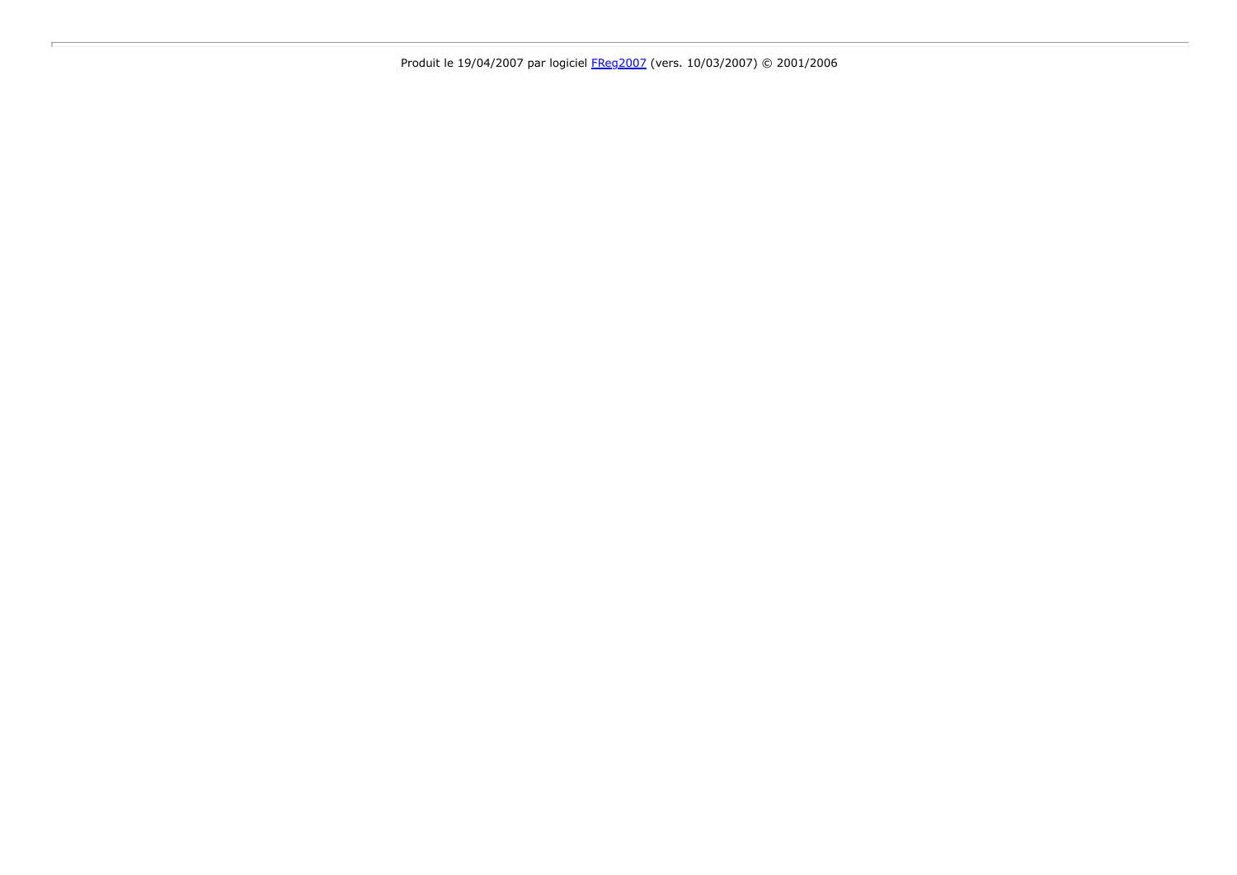Produit le 19/04/2007 par logiciel FReg2007 (vers. 10/03/2007) © 2001/2006